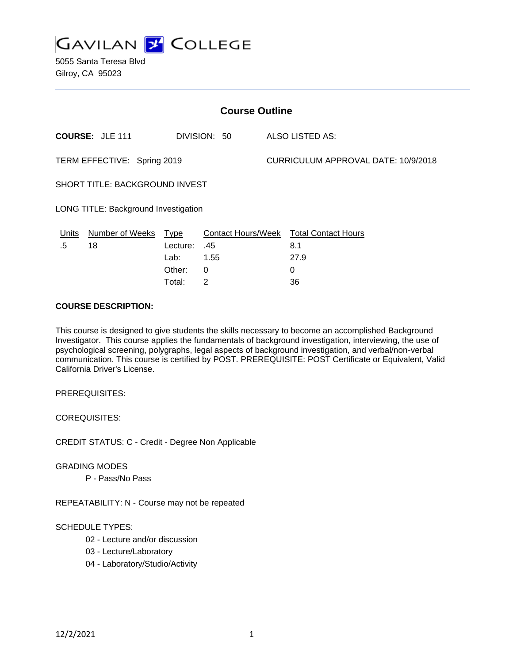

| <b>Course Outline</b>                 |                        |                                 |                                   |  |                                           |  |
|---------------------------------------|------------------------|---------------------------------|-----------------------------------|--|-------------------------------------------|--|
|                                       | <b>COURSE: JLE 111</b> |                                 | DIVISION: 50                      |  | ALSO LISTED AS:                           |  |
| TERM EFFECTIVE: Spring 2019           |                        |                                 |                                   |  | CURRICULUM APPROVAL DATE: 10/9/2018       |  |
| <b>SHORT TITLE: BACKGROUND INVEST</b> |                        |                                 |                                   |  |                                           |  |
| LONG TITLE: Background Investigation  |                        |                                 |                                   |  |                                           |  |
| Units<br>.5                           | Number of Weeks<br>18  | <b>Type</b><br>Lecture:<br>Lab: | Contact Hours/Week<br>.45<br>1.55 |  | <b>Total Contact Hours</b><br>8.1<br>27.9 |  |
|                                       |                        | Other:                          | 0                                 |  | 0                                         |  |

#### **COURSE DESCRIPTION:**

This course is designed to give students the skills necessary to become an accomplished Background Investigator. This course applies the fundamentals of background investigation, interviewing, the use of psychological screening, polygraphs, legal aspects of background investigation, and verbal/non-verbal communication. This course is certified by POST. PREREQUISITE: POST Certificate or Equivalent, Valid California Driver's License.

Total: 2 36

PREREQUISITES:

COREQUISITES:

CREDIT STATUS: C - Credit - Degree Non Applicable

GRADING MODES

P - Pass/No Pass

REPEATABILITY: N - Course may not be repeated

## SCHEDULE TYPES:

- 02 Lecture and/or discussion
- 03 Lecture/Laboratory
- 04 Laboratory/Studio/Activity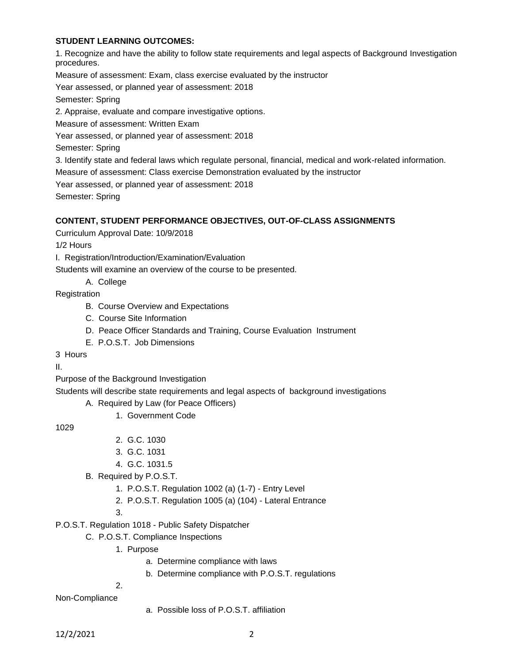## **STUDENT LEARNING OUTCOMES:**

1. Recognize and have the ability to follow state requirements and legal aspects of Background Investigation procedures.

Measure of assessment: Exam, class exercise evaluated by the instructor

Year assessed, or planned year of assessment: 2018

Semester: Spring

2. Appraise, evaluate and compare investigative options.

Measure of assessment: Written Exam

Year assessed, or planned year of assessment: 2018

Semester: Spring

3. Identify state and federal laws which regulate personal, financial, medical and work-related information.

Measure of assessment: Class exercise Demonstration evaluated by the instructor

Year assessed, or planned year of assessment: 2018

Semester: Spring

### **CONTENT, STUDENT PERFORMANCE OBJECTIVES, OUT-OF-CLASS ASSIGNMENTS**

Curriculum Approval Date: 10/9/2018

1/2 Hours

I. Registration/Introduction/Examination/Evaluation

Students will examine an overview of the course to be presented.

A. College

**Registration** 

- B. Course Overview and Expectations
- C. Course Site Information
- D. Peace Officer Standards and Training, Course Evaluation Instrument
- E. P.O.S.T. Job Dimensions

3 Hours

II.

Purpose of the Background Investigation

Students will describe state requirements and legal aspects of background investigations

A. Required by Law (for Peace Officers)

1. Government Code

1029

- 2. G.C. 1030
- 3. G.C. 1031
- 4. G.C. 1031.5
- B. Required by P.O.S.T.
	- 1. P.O.S.T. Regulation 1002 (a) (1-7) Entry Level
	- 2. P.O.S.T. Regulation 1005 (a) (104) Lateral Entrance
	- 3.

P.O.S.T. Regulation 1018 - Public Safety Dispatcher

- C. P.O.S.T. Compliance Inspections
	- 1. Purpose
		- a. Determine compliance with laws
		- b. Determine compliance with P.O.S.T. regulations

2.

Non-Compliance

a. Possible loss of P.O.S.T. affiliation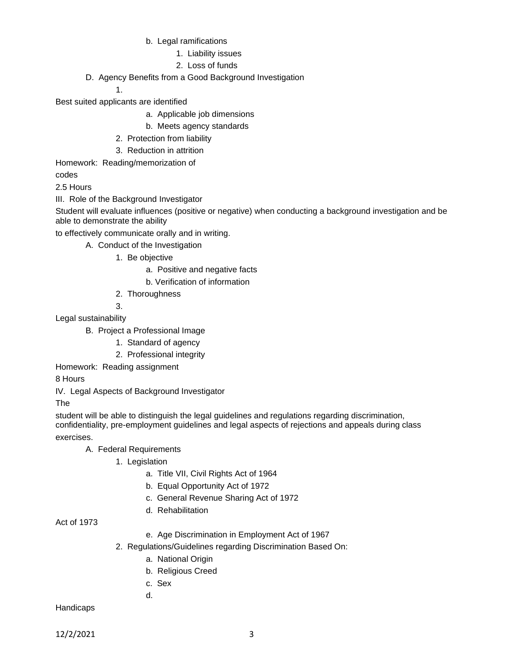- b. Legal ramifications
	- 1. Liability issues
	- 2. Loss of funds
- D. Agency Benefits from a Good Background Investigation

#### 1.

Best suited applicants are identified

- a. Applicable job dimensions
- b. Meets agency standards
- 2. Protection from liability
- 3. Reduction in attrition
- Homework: Reading/memorization of

codes

2.5 Hours

III. Role of the Background Investigator

Student will evaluate influences (positive or negative) when conducting a background investigation and be able to demonstrate the ability

to effectively communicate orally and in writing.

- A. Conduct of the Investigation
	- 1. Be objective
		- a. Positive and negative facts
		- b. Verification of information
	- 2. Thoroughness

3.

Legal sustainability

- B. Project a Professional Image
	- 1. Standard of agency
	- 2. Professional integrity
- Homework: Reading assignment

8 Hours

IV. Legal Aspects of Background Investigator

The

student will be able to distinguish the legal guidelines and regulations regarding discrimination, confidentiality, pre-employment guidelines and legal aspects of rejections and appeals during class exercises.

A. Federal Requirements

- 1. Legislation
	- a. Title VII, Civil Rights Act of 1964
	- b. Equal Opportunity Act of 1972
	- c. General Revenue Sharing Act of 1972
	- d. Rehabilitation

Act of 1973

- e. Age Discrimination in Employment Act of 1967
- 2. Regulations/Guidelines regarding Discrimination Based On:
	- a. National Origin
	- b. Religious Creed
	- c. Sex

d.

Handicaps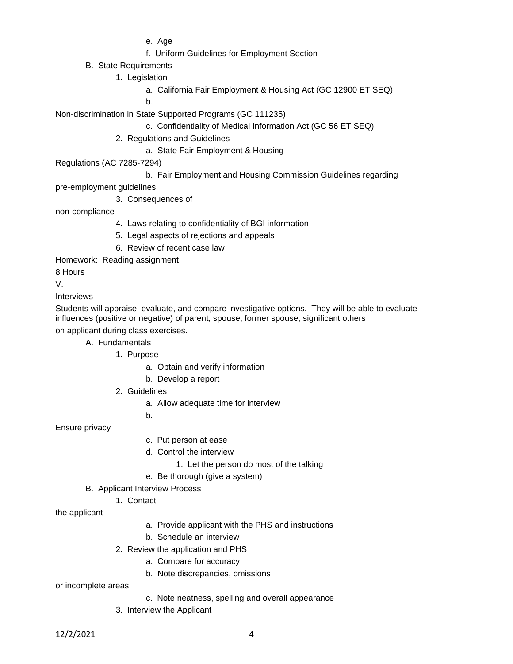e. Age

- f. Uniform Guidelines for Employment Section
- B. State Requirements
	- 1. Legislation
		- a. California Fair Employment & Housing Act (GC 12900 ET SEQ)

b.

Non-discrimination in State Supported Programs (GC 111235)

- c. Confidentiality of Medical Information Act (GC 56 ET SEQ)
- 2. Regulations and Guidelines
	- a. State Fair Employment & Housing
- Regulations (AC 7285-7294)
	- b. Fair Employment and Housing Commission Guidelines regarding

pre-employment guidelines

3. Consequences of

non-compliance

- 4. Laws relating to confidentiality of BGI information
- 5. Legal aspects of rejections and appeals
- 6. Review of recent case law
- Homework: Reading assignment

8 Hours

V.

Interviews

Students will appraise, evaluate, and compare investigative options. They will be able to evaluate influences (positive or negative) of parent, spouse, former spouse, significant others

on applicant during class exercises.

- A. Fundamentals
	- 1. Purpose
		- a. Obtain and verify information
		- b. Develop a report
	- 2. Guidelines
		- a. Allow adequate time for interview

b.

Ensure privacy

- c. Put person at ease
- d. Control the interview
	- 1. Let the person do most of the talking
- e. Be thorough (give a system)
- B. Applicant Interview Process
	- 1. Contact

the applicant

- a. Provide applicant with the PHS and instructions
- b. Schedule an interview
- 2. Review the application and PHS
	- a. Compare for accuracy
	- b. Note discrepancies, omissions

or incomplete areas

- c. Note neatness, spelling and overall appearance
- 3. Interview the Applicant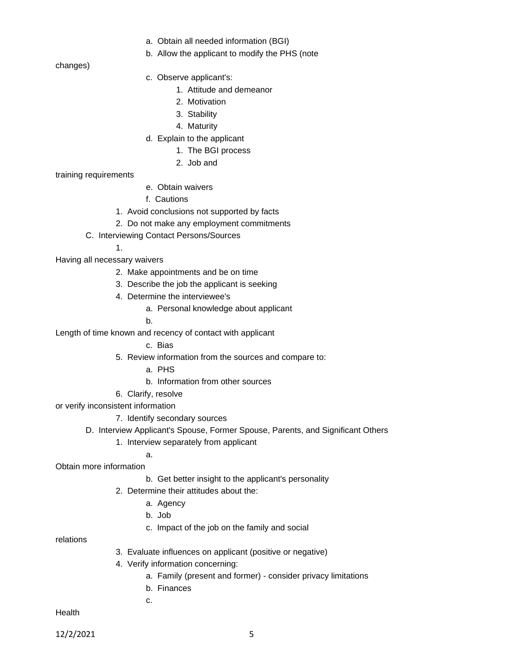- a. Obtain all needed information (BGI)
- b. Allow the applicant to modify the PHS (note

changes)

- c. Observe applicant's:
	- 1. Attitude and demeanor
	- 2. Motivation
	- 3. Stability
	- 4. Maturity
- d. Explain to the applicant
	- 1. The BGI process
		- 2. Job and

training requirements

- e. Obtain waivers
- f. Cautions
- 1. Avoid conclusions not supported by facts
- 2. Do not make any employment commitments
- C. Interviewing Contact Persons/Sources

1.

Having all necessary waivers

- 2. Make appointments and be on time
- 3. Describe the job the applicant is seeking
- 4. Determine the interviewee's
	- a. Personal knowledge about applicant
	- b.

Length of time known and recency of contact with applicant

- c. Bias
- 5. Review information from the sources and compare to:
	- a. PHS
	- b. Information from other sources
- 6. Clarify, resolve

a.

- or verify inconsistent information
	- 7. Identify secondary sources
	- D. Interview Applicant's Spouse, Former Spouse, Parents, and Significant Others
		- 1. Interview separately from applicant

Obtain more information

- b. Get better insight to the applicant's personality
- 2. Determine their attitudes about the:
	- a. Agency
	- b. Job
	- c. Impact of the job on the family and social

relations

- 3. Evaluate influences on applicant (positive or negative)
- 4. Verify information concerning:
	- a. Family (present and former) consider privacy limitations
	- b. Finances

c.

**Health** 

12/2/2021 5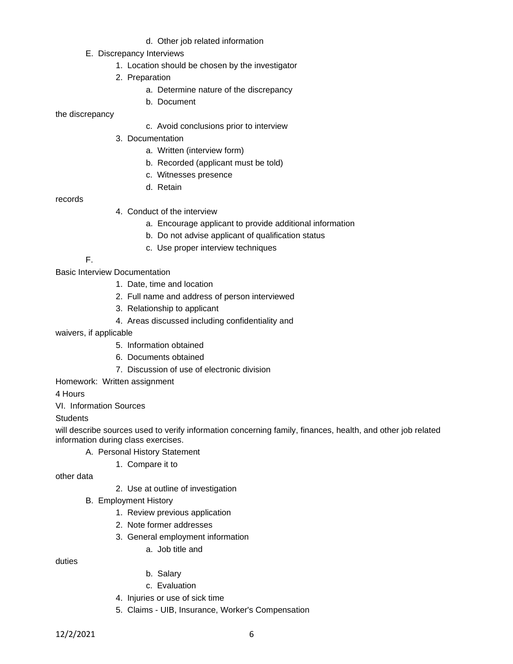- d. Other job related information
- E. Discrepancy Interviews
	- 1. Location should be chosen by the investigator
	- 2. Preparation
		- a. Determine nature of the discrepancy
		- b. Document

the discrepancy

- c. Avoid conclusions prior to interview
- 3. Documentation
	- a. Written (interview form)
	- b. Recorded (applicant must be told)
	- c. Witnesses presence
	- d. Retain

records

- 4. Conduct of the interview
	- a. Encourage applicant to provide additional information
	- b. Do not advise applicant of qualification status
	- c. Use proper interview techniques

F.

Basic Interview Documentation

- 1. Date, time and location
- 2. Full name and address of person interviewed
- 3. Relationship to applicant
- 4. Areas discussed including confidentiality and
- waivers, if applicable
	- 5. Information obtained
	- 6. Documents obtained
	- 7. Discussion of use of electronic division

Homework: Written assignment

4 Hours

VI. Information Sources

### **Students**

will describe sources used to verify information concerning family, finances, health, and other job related information during class exercises.

- A. Personal History Statement
	- 1. Compare it to

other data

- 2. Use at outline of investigation
- B. Employment History
	- 1. Review previous application
	- 2. Note former addresses
	- 3. General employment information
		- a. Job title and

duties

- b. Salary
- c. Evaluation
- 4. Injuries or use of sick time
- 5. Claims UIB, Insurance, Worker's Compensation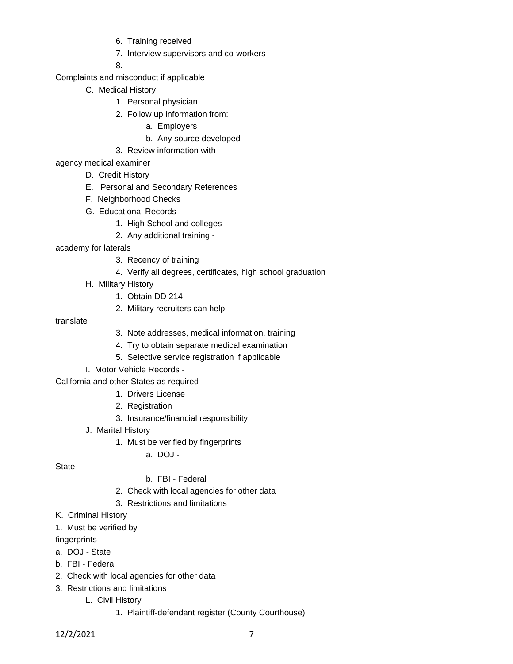- 6. Training received
- 7. Interview supervisors and co-workers

8.

- Complaints and misconduct if applicable
	- C. Medical History
		- 1. Personal physician
		- 2. Follow up information from:
			- a. Employers
			- b. Any source developed
		- 3. Review information with
- agency medical examiner
	- D. Credit History
	- E. Personal and Secondary References
	- F. Neighborhood Checks
	- G. Educational Records
		- 1. High School and colleges
		- 2. Any additional training -
- academy for laterals
	- 3. Recency of training
	- 4. Verify all degrees, certificates, high school graduation
	- H. Military History
		- 1. Obtain DD 214
		- 2. Military recruiters can help
- translate
- 3. Note addresses, medical information, training
- 4. Try to obtain separate medical examination
- 5. Selective service registration if applicable
- I. Motor Vehicle Records -

California and other States as required

- 1. Drivers License
- 2. Registration
- 3. Insurance/financial responsibility
- J. Marital History
	- 1. Must be verified by fingerprints
		- a.  $DO.I -$

**State** 

### b. FBI - Federal

- 2. Check with local agencies for other data
- 3. Restrictions and limitations
- K. Criminal History
- 1. Must be verified by
- fingerprints
- a. DOJ State
- b. FBI Federal
- 2. Check with local agencies for other data
- 3. Restrictions and limitations
	- L. Civil History
		- 1. Plaintiff-defendant register (County Courthouse)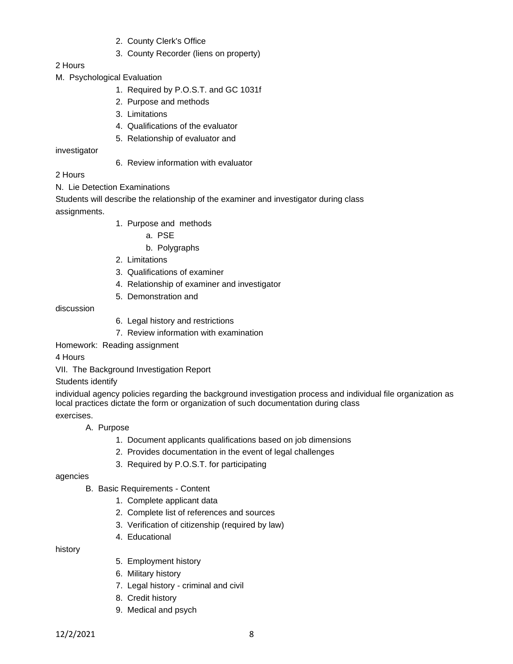- 2. County Clerk's Office
- 3. County Recorder (liens on property)

## 2 Hours

- M. Psychological Evaluation
	- 1. Required by P.O.S.T. and GC 1031f
	- 2. Purpose and methods
	- 3. Limitations
	- 4. Qualifications of the evaluator
	- 5. Relationship of evaluator and

investigator

6. Review information with evaluator

## 2 Hours

N. Lie Detection Examinations

Students will describe the relationship of the examiner and investigator during class assignments.

- 1. Purpose and methods
	- a. PSE
	- b. Polygraphs
- 2. Limitations
- 3. Qualifications of examiner
- 4. Relationship of examiner and investigator
- 5. Demonstration and

#### discussion

- 6. Legal history and restrictions
- 7. Review information with examination

Homework: Reading assignment

4 Hours

VII. The Background Investigation Report

### Students identify

individual agency policies regarding the background investigation process and individual file organization as local practices dictate the form or organization of such documentation during class exercises.

# A. Purpose

- 1. Document applicants qualifications based on job dimensions
- 2. Provides documentation in the event of legal challenges
- 3. Required by P.O.S.T. for participating

### agencies

- B. Basic Requirements Content
	- 1. Complete applicant data
	- 2. Complete list of references and sources
	- 3. Verification of citizenship (required by law)
	- 4. Educational

history

- 5. Employment history
- 6. Military history
- 7. Legal history criminal and civil
- 8. Credit history
- 9. Medical and psych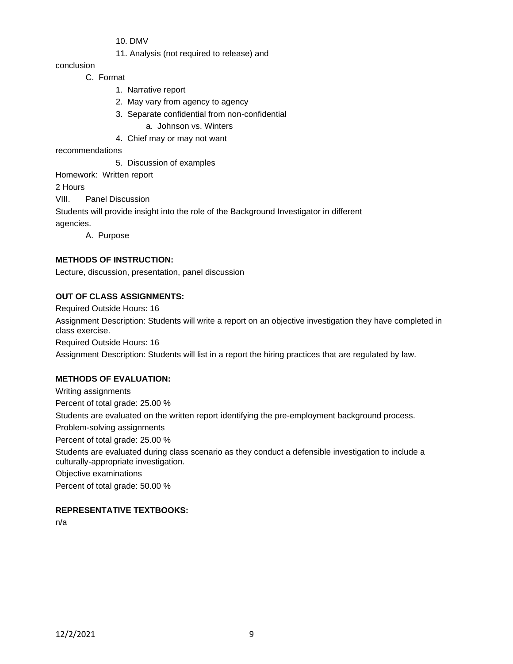10. DMV

11. Analysis (not required to release) and

conclusion

C. Format

- 1. Narrative report
- 2. May vary from agency to agency
- 3. Separate confidential from non-confidential

a. Johnson vs. Winters

4. Chief may or may not want

recommendations

5. Discussion of examples

Homework: Written report

2 Hours

VIII. Panel Discussion

Students will provide insight into the role of the Background Investigator in different

agencies.

A. Purpose

# **METHODS OF INSTRUCTION:**

Lecture, discussion, presentation, panel discussion

## **OUT OF CLASS ASSIGNMENTS:**

Required Outside Hours: 16

Assignment Description: Students will write a report on an objective investigation they have completed in class exercise.

Required Outside Hours: 16

Assignment Description: Students will list in a report the hiring practices that are regulated by law.

# **METHODS OF EVALUATION:**

Writing assignments Percent of total grade: 25.00 % Students are evaluated on the written report identifying the pre-employment background process. Problem-solving assignments Percent of total grade: 25.00 % Students are evaluated during class scenario as they conduct a defensible investigation to include a culturally-appropriate investigation. Objective examinations Percent of total grade: 50.00 %

# **REPRESENTATIVE TEXTBOOKS:**

n/a